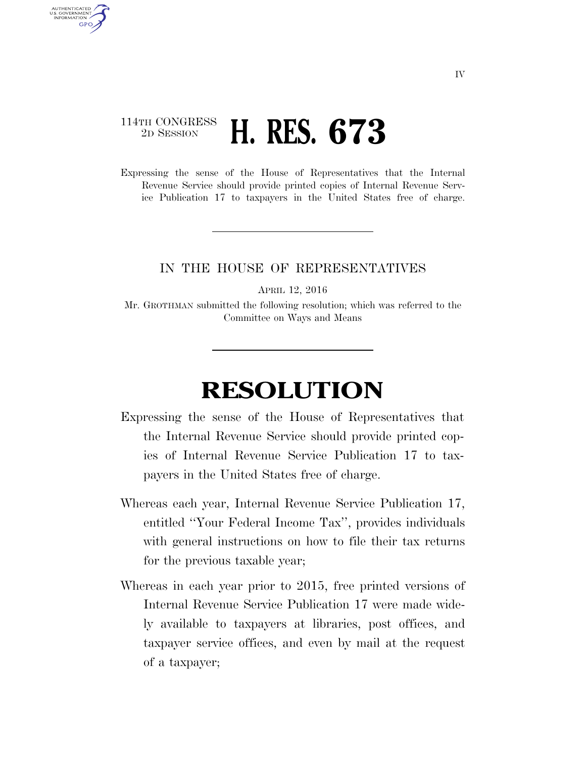## 114TH CONGRESS <sup>2D SESSION</sup> **H. RES. 673**

AUTHENTICATED U.S. GOVERNMENT **GPO** 

> Expressing the sense of the House of Representatives that the Internal Revenue Service should provide printed copies of Internal Revenue Service Publication 17 to taxpayers in the United States free of charge.

## IN THE HOUSE OF REPRESENTATIVES

APRIL 12, 2016

Mr. GROTHMAN submitted the following resolution; which was referred to the Committee on Ways and Means

## **RESOLUTION**

- Expressing the sense of the House of Representatives that the Internal Revenue Service should provide printed copies of Internal Revenue Service Publication 17 to taxpayers in the United States free of charge.
- Whereas each year, Internal Revenue Service Publication 17, entitled ''Your Federal Income Tax'', provides individuals with general instructions on how to file their tax returns for the previous taxable year;
- Whereas in each year prior to 2015, free printed versions of Internal Revenue Service Publication 17 were made widely available to taxpayers at libraries, post offices, and taxpayer service offices, and even by mail at the request of a taxpayer;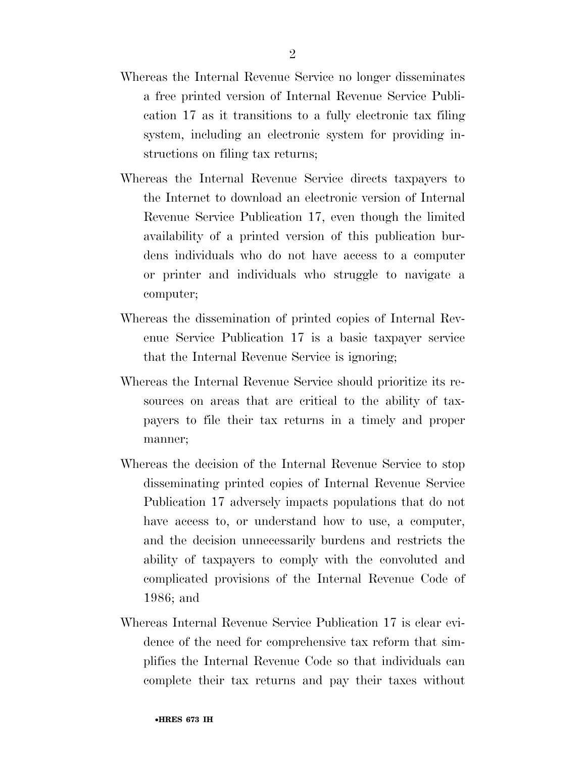- Whereas the Internal Revenue Service no longer disseminates a free printed version of Internal Revenue Service Publication 17 as it transitions to a fully electronic tax filing system, including an electronic system for providing instructions on filing tax returns;
- Whereas the Internal Revenue Service directs taxpayers to the Internet to download an electronic version of Internal Revenue Service Publication 17, even though the limited availability of a printed version of this publication burdens individuals who do not have access to a computer or printer and individuals who struggle to navigate a computer;
- Whereas the dissemination of printed copies of Internal Revenue Service Publication 17 is a basic taxpayer service that the Internal Revenue Service is ignoring;
- Whereas the Internal Revenue Service should prioritize its resources on areas that are critical to the ability of taxpayers to file their tax returns in a timely and proper manner;
- Whereas the decision of the Internal Revenue Service to stop disseminating printed copies of Internal Revenue Service Publication 17 adversely impacts populations that do not have access to, or understand how to use, a computer, and the decision unnecessarily burdens and restricts the ability of taxpayers to comply with the convoluted and complicated provisions of the Internal Revenue Code of 1986; and
- Whereas Internal Revenue Service Publication 17 is clear evidence of the need for comprehensive tax reform that simplifies the Internal Revenue Code so that individuals can complete their tax returns and pay their taxes without